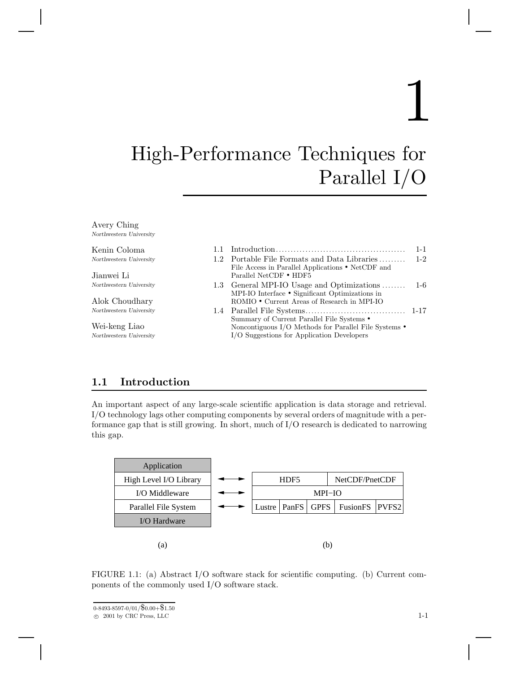# 1

# High-Performance Techniques for Parallel I/O

Avery Ching *Northwestern University*

Kenin Coloma *Northwestern University*

Jianwei Li *Northwestern University*

Alok Choudhary *Northwestern University*

Wei-keng Liao *Northwestern University*

| 1.1 |                                                                                                                                                           | $1 - 1$  |
|-----|-----------------------------------------------------------------------------------------------------------------------------------------------------------|----------|
|     | 1.2 Portable File Formats and Data Libraries<br>File Access in Parallel Applications • NetCDF and<br>Parallel NetCDF • HDF5                               | $1 - 2$  |
|     | 1.3 General MPI-IO Usage and Optimizations<br>MPI-IO Interface • Significant Optimizations in<br>ROMIO • Current Areas of Research in MPI-IO              | $1-6$    |
|     | Summary of Current Parallel File Systems •<br>Noncontiguous I/O Methods for Parallel File Systems $\bullet$<br>I/O Suggestions for Application Developers | $1 - 17$ |

# **1.1 Introduction**

An important aspect of any large-scale scientific application is data storage and retrieval. I/O technology lags other computing components by several orders of magnitude with a performance gap that is still growing. In short, much of I/O research is dedicated to narrowing this gap.



FIGURE 1.1: (a) Abstract I/O software stack for scientific computing. (b) Current components of the commonly used I/O software stack.

<sup>0-8493-8597-0/01/\$0.00+\$1.50</sup>

 $\odot$  2001 by CRC Press, LLC 1-1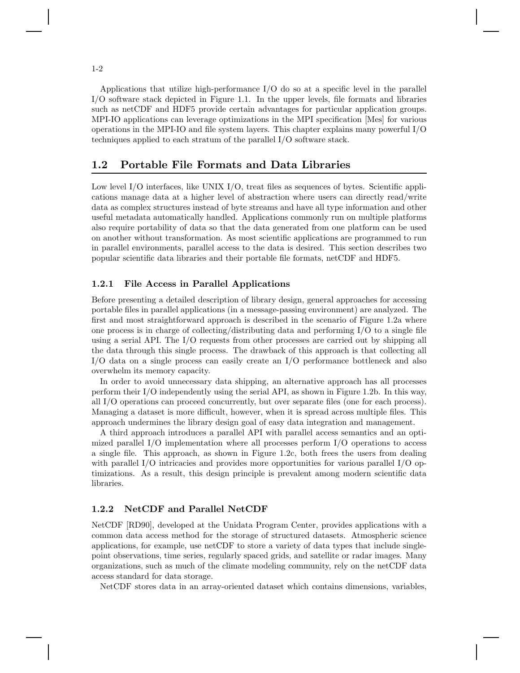Applications that utilize high-performance I/O do so at a specific level in the parallel I/O software stack depicted in Figure 1.1. In the upper levels, file formats and libraries such as netCDF and HDF5 provide certain advantages for particular application groups. MPI-IO applications can leverage optimizations in the MPI specification [Mes] for various operations in the MPI-IO and file system layers. This chapter explains many powerful I/O techniques applied to each stratum of the parallel I/O software stack.

# **1.2 Portable File Formats and Data Libraries**

Low level I/O interfaces, like UNIX I/O, treat files as sequences of bytes. Scientific applications manage data at a higher level of abstraction where users can directly read/write data as complex structures instead of byte streams and have all type information and other useful metadata automatically handled. Applications commonly run on multiple platforms also require portability of data so that the data generated from one platform can be used on another without transformation. As most scientific applications are programmed to run in parallel environments, parallel access to the data is desired. This section describes two popular scientific data libraries and their portable file formats, netCDF and HDF5.

#### **1.2.1 File Access in Parallel Applications**

Before presenting a detailed description of library design, general approaches for accessing portable files in parallel applications (in a message-passing environment) are analyzed. The first and most straightforward approach is described in the scenario of Figure 1.2a where one process is in charge of collecting/distributing data and performing I/O to a single file using a serial API. The I/O requests from other processes are carried out by shipping all the data through this single process. The drawback of this approach is that collecting all I/O data on a single process can easily create an I/O performance bottleneck and also overwhelm its memory capacity.

In order to avoid unnecessary data shipping, an alternative approach has all processes perform their I/O independently using the serial API, as shown in Figure 1.2b. In this way, all I/O operations can proceed concurrently, but over separate files (one for each process). Managing a dataset is more difficult, however, when it is spread across multiple files. This approach undermines the library design goal of easy data integration and management.

A third approach introduces a parallel API with parallel access semantics and an optimized parallel I/O implementation where all processes perform I/O operations to access a single file. This approach, as shown in Figure 1.2c, both frees the users from dealing with parallel I/O intricacies and provides more opportunities for various parallel I/O optimizations. As a result, this design principle is prevalent among modern scientific data libraries.

# **1.2.2 NetCDF and Parallel NetCDF**

NetCDF [RD90], developed at the Unidata Program Center, provides applications with a common data access method for the storage of structured datasets. Atmospheric science applications, for example, use netCDF to store a variety of data types that include singlepoint observations, time series, regularly spaced grids, and satellite or radar images. Many organizations, such as much of the climate modeling community, rely on the netCDF data access standard for data storage.

NetCDF stores data in an array-oriented dataset which contains dimensions, variables,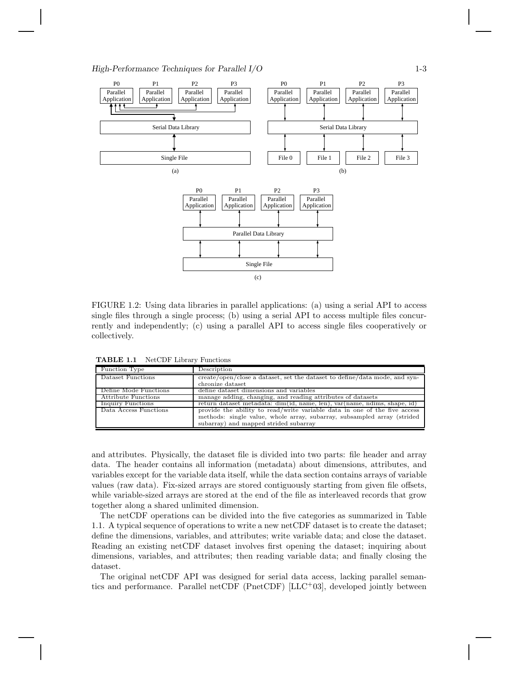

FIGURE 1.2: Using data libraries in parallel applications: (a) using a serial API to access single files through a single process; (b) using a serial API to access multiple files concurrently and independently; (c) using a parallel API to access single files cooperatively or collectively.

| TABLE 1.1 |  |  | NetCDF Library Functions |
|-----------|--|--|--------------------------|
|-----------|--|--|--------------------------|

| <b>Function Type</b>       | Description                                                                                                                                                                                   |
|----------------------------|-----------------------------------------------------------------------------------------------------------------------------------------------------------------------------------------------|
| Dataset Functions          | create/open/close a dataset, set the dataset to define/data mode, and syn-<br>chronize dataset                                                                                                |
| Define Mode Functions      | define dataset dimensions and variables                                                                                                                                                       |
| <b>Attribute Functions</b> | manage adding, changing, and reading attributes of datasets                                                                                                                                   |
| Inquiry Functions          | return dataset metadata: dim(id, name, len), var(name, ndims, shape, id)                                                                                                                      |
| Data Access Functions      | provide the ability to read/write variable data in one of the five access<br>methods: single value, whole array, subarray, subsampled array (strided<br>subarray) and mapped strided subarray |

and attributes. Physically, the dataset file is divided into two parts: file header and array data. The header contains all information (metadata) about dimensions, attributes, and variables except for the variable data itself, while the data section contains arrays of variable values (raw data). Fix-sized arrays are stored contiguously starting from given file offsets, while variable-sized arrays are stored at the end of the file as interleaved records that grow together along a shared unlimited dimension.

The netCDF operations can be divided into the five categories as summarized in Table 1.1. A typical sequence of operations to write a new netCDF dataset is to create the dataset; define the dimensions, variables, and attributes; write variable data; and close the dataset. Reading an existing netCDF dataset involves first opening the dataset; inquiring about dimensions, variables, and attributes; then reading variable data; and finally closing the dataset.

The original netCDF API was designed for serial data access, lacking parallel semantics and performance. Parallel netCDF (PnetCDF)  $[LLC^+03]$ , developed jointly between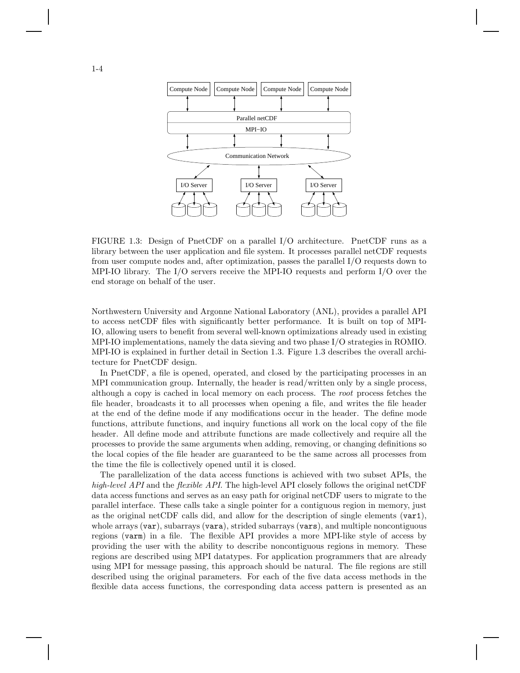

FIGURE 1.3: Design of PnetCDF on a parallel I/O architecture. PnetCDF runs as a library between the user application and file system. It processes parallel netCDF requests from user compute nodes and, after optimization, passes the parallel I/O requests down to MPI-IO library. The I/O servers receive the MPI-IO requests and perform I/O over the end storage on behalf of the user.

Northwestern University and Argonne National Laboratory (ANL), provides a parallel API to access netCDF files with significantly better performance. It is built on top of MPI-IO, allowing users to benefit from several well-known optimizations already used in existing MPI-IO implementations, namely the data sieving and two phase I/O strategies in ROMIO. MPI-IO is explained in further detail in Section 1.3. Figure 1.3 describes the overall architecture for PnetCDF design.

In PnetCDF, a file is opened, operated, and closed by the participating processes in an MPI communication group. Internally, the header is read/written only by a single process, although a copy is cached in local memory on each process. The *root* process fetches the file header, broadcasts it to all processes when opening a file, and writes the file header at the end of the define mode if any modifications occur in the header. The define mode functions, attribute functions, and inquiry functions all work on the local copy of the file header. All define mode and attribute functions are made collectively and require all the processes to provide the same arguments when adding, removing, or changing definitions so the local copies of the file header are guaranteed to be the same across all processes from the time the file is collectively opened until it is closed.

The parallelization of the data access functions is achieved with two subset APIs, the *high-level API* and the *flexible API*. The high-level API closely follows the original netCDF data access functions and serves as an easy path for original netCDF users to migrate to the parallel interface. These calls take a single pointer for a contiguous region in memory, just as the original netCDF calls did, and allow for the description of single elements (var1), whole arrays (var), subarrays (vara), strided subarrays (vars), and multiple noncontiguous regions (varm) in a file. The flexible API provides a more MPI-like style of access by providing the user with the ability to describe noncontiguous regions in memory. These regions are described using MPI datatypes. For application programmers that are already using MPI for message passing, this approach should be natural. The file regions are still described using the original parameters. For each of the five data access methods in the flexible data access functions, the corresponding data access pattern is presented as an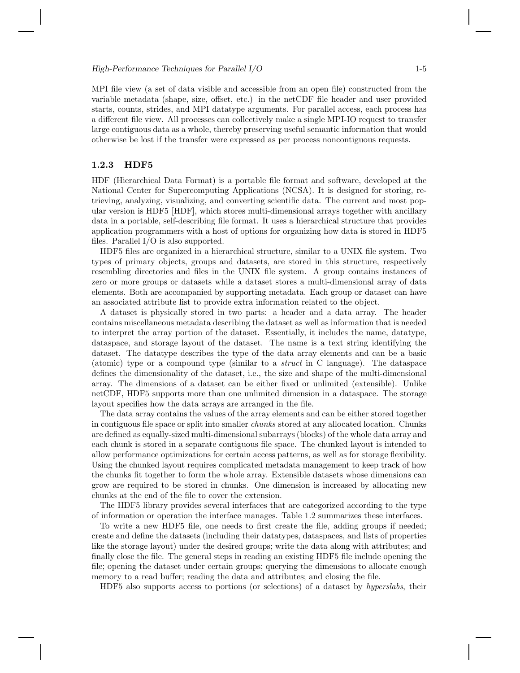MPI file view (a set of data visible and accessible from an open file) constructed from the variable metadata (shape, size, offset, etc.) in the netCDF file header and user provided starts, counts, strides, and MPI datatype arguments. For parallel access, each process has a different file view. All processes can collectively make a single MPI-IO request to transfer large contiguous data as a whole, thereby preserving useful semantic information that would otherwise be lost if the transfer were expressed as per process noncontiguous requests.

# **1.2.3 HDF5**

HDF (Hierarchical Data Format) is a portable file format and software, developed at the National Center for Supercomputing Applications (NCSA). It is designed for storing, retrieving, analyzing, visualizing, and converting scientific data. The current and most popular version is HDF5 [HDF], which stores multi-dimensional arrays together with ancillary data in a portable, self-describing file format. It uses a hierarchical structure that provides application programmers with a host of options for organizing how data is stored in HDF5 files. Parallel I/O is also supported.

HDF5 files are organized in a hierarchical structure, similar to a UNIX file system. Two types of primary objects, groups and datasets, are stored in this structure, respectively resembling directories and files in the UNIX file system. A group contains instances of zero or more groups or datasets while a dataset stores a multi-dimensional array of data elements. Both are accompanied by supporting metadata. Each group or dataset can have an associated attribute list to provide extra information related to the object.

A dataset is physically stored in two parts: a header and a data array. The header contains miscellaneous metadata describing the dataset as well as information that is needed to interpret the array portion of the dataset. Essentially, it includes the name, datatype, dataspace, and storage layout of the dataset. The name is a text string identifying the dataset. The datatype describes the type of the data array elements and can be a basic (atomic) type or a compound type (similar to a *struct* in C language). The dataspace defines the dimensionality of the dataset, i.e., the size and shape of the multi-dimensional array. The dimensions of a dataset can be either fixed or unlimited (extensible). Unlike netCDF, HDF5 supports more than one unlimited dimension in a dataspace. The storage layout specifies how the data arrays are arranged in the file.

The data array contains the values of the array elements and can be either stored together in contiguous file space or split into smaller *chunks* stored at any allocated location. Chunks are defined as equally-sized multi-dimensional subarrays (blocks) of the whole data array and each chunk is stored in a separate contiguous file space. The chunked layout is intended to allow performance optimizations for certain access patterns, as well as for storage flexibility. Using the chunked layout requires complicated metadata management to keep track of how the chunks fit together to form the whole array. Extensible datasets whose dimensions can grow are required to be stored in chunks. One dimension is increased by allocating new chunks at the end of the file to cover the extension.

The HDF5 library provides several interfaces that are categorized according to the type of information or operation the interface manages. Table 1.2 summarizes these interfaces.

To write a new HDF5 file, one needs to first create the file, adding groups if needed; create and define the datasets (including their datatypes, dataspaces, and lists of properties like the storage layout) under the desired groups; write the data along with attributes; and finally close the file. The general steps in reading an existing HDF5 file include opening the file; opening the dataset under certain groups; querying the dimensions to allocate enough memory to a read buffer; reading the data and attributes; and closing the file.

HDF5 also supports access to portions (or selections) of a dataset by *hyperslabs*, their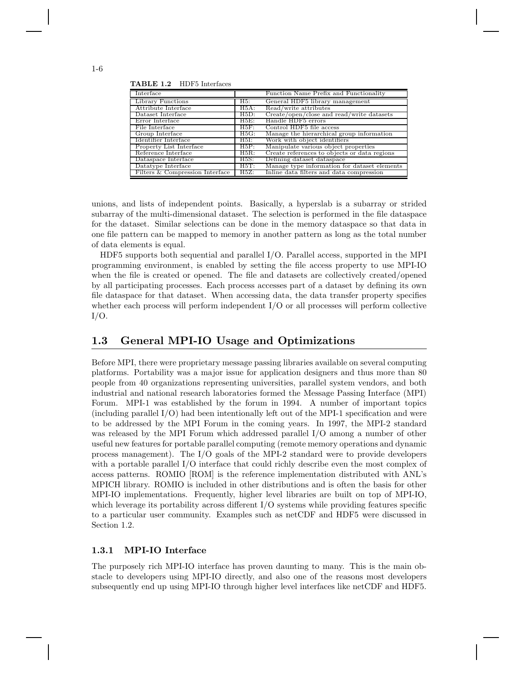| Interface                       |      | Function Name Prefix and Functionality       |
|---------------------------------|------|----------------------------------------------|
| Library Functions               | H5:  | General HDF5 library management              |
| Attribute Interface             | H5A: | Read/write attributes                        |
| Dataset Interface               | H5D: | Create/open/close and read/write datasets    |
| Error Interface                 | H5E: | Handle HDF5 errors                           |
| File Interface                  | H5F: | Control HDF5 file access                     |
| Group Interface                 | H5G: | Manage the hierarchical group information    |
| Identifier Interface            | H5I: | Work with object identifiers                 |
| Property List Interface         | H5P: | Manipulate various object properties         |
| Reference Interface             | H5R: | Create references to objects or data regions |
| Dataspace Interface             | H5S: | Defining dataset dataspace                   |
| Datatype Interface              | H5T: | Manage type information for dataset elements |
| Filters & Compression Interface | H5Z: | Inline data filters and data compression     |

unions, and lists of independent points. Basically, a hyperslab is a subarray or strided subarray of the multi-dimensional dataset. The selection is performed in the file dataspace for the dataset. Similar selections can be done in the memory dataspace so that data in one file pattern can be mapped to memory in another pattern as long as the total number of data elements is equal.

HDF5 supports both sequential and parallel I/O. Parallel access, supported in the MPI programming environment, is enabled by setting the file access property to use MPI-IO when the file is created or opened. The file and datasets are collectively created/opened by all participating processes. Each process accesses part of a dataset by defining its own file dataspace for that dataset. When accessing data, the data transfer property specifies whether each process will perform independent I/O or all processes will perform collective  $I/O$ .

# **1.3 General MPI-IO Usage and Optimizations**

Before MPI, there were proprietary message passing libraries available on several computing platforms. Portability was a major issue for application designers and thus more than 80 people from 40 organizations representing universities, parallel system vendors, and both industrial and national research laboratories formed the Message Passing Interface (MPI) Forum. MPI-1 was established by the forum in 1994. A number of important topics (including parallel I/O) had been intentionally left out of the MPI-1 specification and were to be addressed by the MPI Forum in the coming years. In 1997, the MPI-2 standard was released by the MPI Forum which addressed parallel I/O among a number of other useful new features for portable parallel computing (remote memory operations and dynamic process management). The I/O goals of the MPI-2 standard were to provide developers with a portable parallel I/O interface that could richly describe even the most complex of access patterns. ROMIO [ROM] is the reference implementation distributed with ANL's MPICH library. ROMIO is included in other distributions and is often the basis for other MPI-IO implementations. Frequently, higher level libraries are built on top of MPI-IO, which leverage its portability across different I/O systems while providing features specific to a particular user community. Examples such as netCDF and HDF5 were discussed in Section 1.2.

# **1.3.1 MPI-IO Interface**

The purposely rich MPI-IO interface has proven daunting to many. This is the main obstacle to developers using MPI-IO directly, and also one of the reasons most developers subsequently end up using MPI-IO through higher level interfaces like netCDF and HDF5.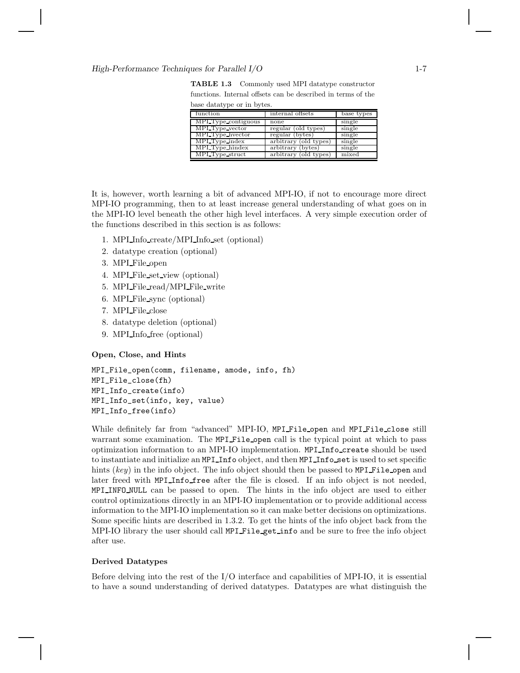**TABLE 1.3** Commonly used MPI datatype constructor functions. Internal offsets can be described in terms of the base datatype or in bytes.

| base types |  |  |  |  |
|------------|--|--|--|--|
|            |  |  |  |  |
|            |  |  |  |  |
|            |  |  |  |  |
|            |  |  |  |  |
|            |  |  |  |  |
|            |  |  |  |  |
|            |  |  |  |  |

It is, however, worth learning a bit of advanced MPI-IO, if not to encourage more direct MPI-IO programming, then to at least increase general understanding of what goes on in the MPI-IO level beneath the other high level interfaces. A very simple execution order of the functions described in this section is as follows:

- 1. MPI Info create/MPI Info set (optional)
- 2. datatype creation (optional)
- 3. MPI File open
- 4. MPI File set view (optional)
- 5. MPI File read/MPI File write
- 6. MPI File sync (optional)
- 7. MPI File close
- 8. datatype deletion (optional)
- 9. MPI Info free (optional)

#### **Open, Close, and Hints**

```
MPI_File_open(comm, filename, amode, info, fh)
MPI_File_close(fh)
MPI_Info_create(info)
MPI_Info_set(info, key, value)
MPI_Info_free(info)
```
While definitely far from "advanced" MPI-IO, MPI File open and MPI File close still warrant some examination. The MPI File open call is the typical point at which to pass optimization information to an MPI-IO implementation. MPI Info create should be used to instantiate and initialize an MPI Info object, and then MPI Info set is used to set specific hints (*key*) in the info object. The info object should then be passed to MPI File open and later freed with MPI\_Info\_free after the file is closed. If an info object is not needed, MPI INFO NULL can be passed to open. The hints in the info object are used to either control optimizations directly in an MPI-IO implementation or to provide additional access information to the MPI-IO implementation so it can make better decisions on optimizations. Some specific hints are described in 1.3.2. To get the hints of the info object back from the MPI-IO library the user should call MPI File get info and be sure to free the info object after use.

#### **Derived Datatypes**

Before delving into the rest of the I/O interface and capabilities of MPI-IO, it is essential to have a sound understanding of derived datatypes. Datatypes are what distinguish the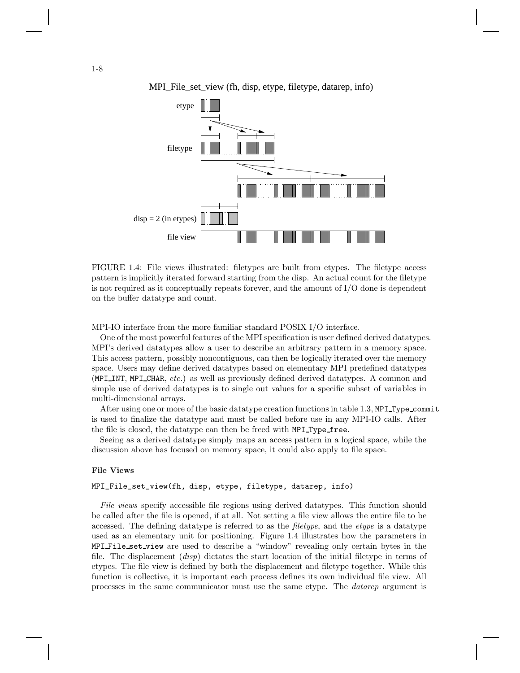

MPI\_File\_set\_view (fh, disp, etype, filetype, datarep, info)

FIGURE 1.4: File views illustrated: filetypes are built from etypes. The filetype access pattern is implicitly iterated forward starting from the disp. An actual count for the filetype is not required as it conceptually repeats forever, and the amount of I/O done is dependent on the buffer datatype and count.

MPI-IO interface from the more familiar standard POSIX I/O interface.

One of the most powerful features of the MPI specification is user defined derived datatypes. MPI's derived datatypes allow a user to describe an arbitrary pattern in a memory space. This access pattern, possibly noncontiguous, can then be logically iterated over the memory space. Users may define derived datatypes based on elementary MPI predefined datatypes (MPI<sub>INT</sub>, MPI<sub>I</sub>CHAR, *etc.*) as well as previously defined derived datatypes. A common and simple use of derived datatypes is to single out values for a specific subset of variables in multi-dimensional arrays.

After using one or more of the basic datatype creation functions in table 1.3, MPI\_Type\_commit is used to finalize the datatype and must be called before use in any MPI-IO calls. After the file is closed, the datatype can then be freed with MPI Type free.

Seeing as a derived datatype simply maps an access pattern in a logical space, while the discussion above has focused on memory space, it could also apply to file space.

#### **File Views**

#### MPI\_File\_set\_view(fh, disp, etype, filetype, datarep, info)

*File views* specify accessible file regions using derived datatypes. This function should be called after the file is opened, if at all. Not setting a file view allows the entire file to be accessed. The defining datatype is referred to as the *filetype*, and the *etype* is a datatype used as an elementary unit for positioning. Figure 1.4 illustrates how the parameters in MPI File set view are used to describe a "window" revealing only certain bytes in the file. The displacement (*disp*) dictates the start location of the initial filetype in terms of etypes. The file view is defined by both the displacement and filetype together. While this function is collective, it is important each process defines its own individual file view. All processes in the same communicator must use the same etype. The *datarep* argument is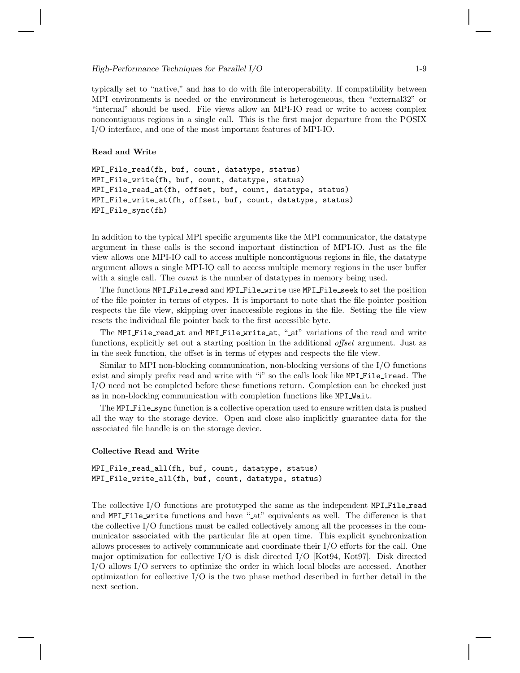#### *High-Performance Techniques for Parallel I/O* 1-9

typically set to "native," and has to do with file interoperability. If compatibility between MPI environments is needed or the environment is heterogeneous, then "external32" or "internal" should be used. File views allow an MPI-IO read or write to access complex noncontiguous regions in a single call. This is the first major departure from the POSIX I/O interface, and one of the most important features of MPI-IO.

#### **Read and Write**

```
MPI_File_read(fh, buf, count, datatype, status)
MPI_File_write(fh, buf, count, datatype, status)
MPI_File_read_at(fh, offset, buf, count, datatype, status)
MPI_File_write_at(fh, offset, buf, count, datatype, status)
MPI_File_sync(fh)
```
In addition to the typical MPI specific arguments like the MPI communicator, the datatype argument in these calls is the second important distinction of MPI-IO. Just as the file view allows one MPI-IO call to access multiple noncontiguous regions in file, the datatype argument allows a single MPI-IO call to access multiple memory regions in the user buffer with a single call. The *count* is the number of datatypes in memory being used.

The functions MPI File read and MPI File write use MPI File seek to set the position of the file pointer in terms of etypes. It is important to note that the file pointer position respects the file view, skipping over inaccessible regions in the file. Setting the file view resets the individual file pointer back to the first accessible byte.

The MPI File read at and MPI File write at, " at" variations of the read and write functions, explicitly set out a starting position in the additional *offset* argument. Just as in the seek function, the offset is in terms of etypes and respects the file view.

Similar to MPI non-blocking communication, non-blocking versions of the I/O functions exist and simply prefix read and write with "i" so the calls look like MPI File iread. The I/O need not be completed before these functions return. Completion can be checked just as in non-blocking communication with completion functions like MPI Wait.

The MPI File sync function is a collective operation used to ensure written data is pushed all the way to the storage device. Open and close also implicitly guarantee data for the associated file handle is on the storage device.

#### **Collective Read and Write**

MPI\_File\_read\_all(fh, buf, count, datatype, status) MPI\_File\_write\_all(fh, buf, count, datatype, status)

The collective  $I/O$  functions are prototyped the same as the independent MPI File read and MPI File write functions and have "-at" equivalents as well. The difference is that the collective I/O functions must be called collectively among all the processes in the communicator associated with the particular file at open time. This explicit synchronization allows processes to actively communicate and coordinate their I/O efforts for the call. One major optimization for collective I/O is disk directed I/O [Kot94, Kot97]. Disk directed I/O allows I/O servers to optimize the order in which local blocks are accessed. Another optimization for collective  $I/O$  is the two phase method described in further detail in the next section.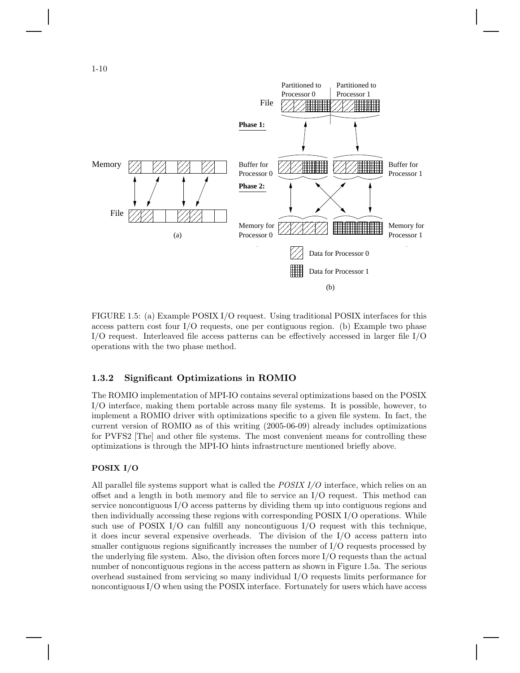

FIGURE 1.5: (a) Example POSIX I/O request. Using traditional POSIX interfaces for this access pattern cost four I/O requests, one per contiguous region. (b) Example two phase I/O request. Interleaved file access patterns can be effectively accessed in larger file I/O operations with the two phase method.

# **1.3.2 Significant Optimizations in ROMIO**

The ROMIO implementation of MPI-IO contains several optimizations based on the POSIX I/O interface, making them portable across many file systems. It is possible, however, to implement a ROMIO driver with optimizations specific to a given file system. In fact, the current version of ROMIO as of this writing (2005-06-09) already includes optimizations for PVFS2 [The] and other file systems. The most convenient means for controlling these optimizations is through the MPI-IO hints infrastructure mentioned briefly above.

#### **POSIX I/O**

All parallel file systems support what is called the *POSIX I/O* interface, which relies on an offset and a length in both memory and file to service an I/O request. This method can service noncontiguous I/O access patterns by dividing them up into contiguous regions and then individually accessing these regions with corresponding POSIX I/O operations. While such use of POSIX I/O can fulfill any noncontiguous I/O request with this technique, it does incur several expensive overheads. The division of the I/O access pattern into smaller contiguous regions significantly increases the number of I/O requests processed by the underlying file system. Also, the division often forces more I/O requests than the actual number of noncontiguous regions in the access pattern as shown in Figure 1.5a. The serious overhead sustained from servicing so many individual I/O requests limits performance for noncontiguous I/O when using the POSIX interface. Fortunately for users which have access

1-10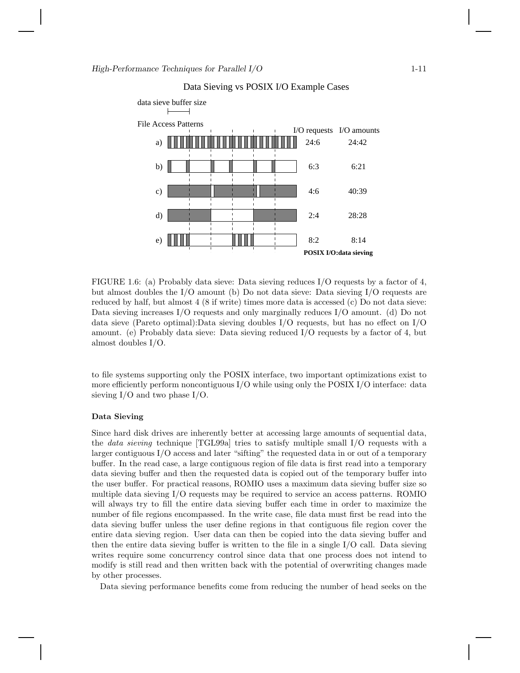

Data Sieving vs POSIX I/O Example Cases

FIGURE 1.6: (a) Probably data sieve: Data sieving reduces I/O requests by a factor of 4, but almost doubles the I/O amount (b) Do not data sieve: Data sieving I/O requests are reduced by half, but almost 4 (8 if write) times more data is accessed (c) Do not data sieve: Data sieving increases I/O requests and only marginally reduces I/O amount. (d) Do not data sieve (Pareto optimal):Data sieving doubles I/O requests, but has no effect on I/O amount. (e) Probably data sieve: Data sieving reduced I/O requests by a factor of 4, but almost doubles I/O.

to file systems supporting only the POSIX interface, two important optimizations exist to more efficiently perform noncontiguous I/O while using only the POSIX I/O interface: data sieving I/O and two phase I/O.

#### **Data Sieving**

Since hard disk drives are inherently better at accessing large amounts of sequential data, the *data sieving* technique [TGL99a] tries to satisfy multiple small I/O requests with a larger contiguous I/O access and later "sifting" the requested data in or out of a temporary buffer. In the read case, a large contiguous region of file data is first read into a temporary data sieving buffer and then the requested data is copied out of the temporary buffer into the user buffer. For practical reasons, ROMIO uses a maximum data sieving buffer size so multiple data sieving I/O requests may be required to service an access patterns. ROMIO will always try to fill the entire data sieving buffer each time in order to maximize the number of file regions encompassed. In the write case, file data must first be read into the data sieving buffer unless the user define regions in that contiguous file region cover the entire data sieving region. User data can then be copied into the data sieving buffer and then the entire data sieving buffer is written to the file in a single I/O call. Data sieving writes require some concurrency control since data that one process does not intend to modify is still read and then written back with the potential of overwriting changes made by other processes.

Data sieving performance benefits come from reducing the number of head seeks on the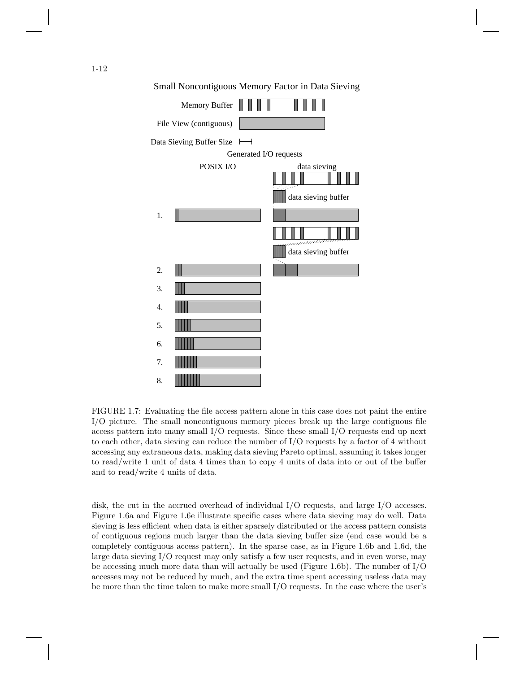

Small Noncontiguous Memory Factor in Data Sieving

FIGURE 1.7: Evaluating the file access pattern alone in this case does not paint the entire I/O picture. The small noncontiguous memory pieces break up the large contiguous file access pattern into many small I/O requests. Since these small I/O requests end up next to each other, data sieving can reduce the number of I/O requests by a factor of 4 without accessing any extraneous data, making data sieving Pareto optimal, assuming it takes longer to read/write 1 unit of data 4 times than to copy 4 units of data into or out of the buffer and to read/write 4 units of data.

disk, the cut in the accrued overhead of individual I/O requests, and large I/O accesses. Figure 1.6a and Figure 1.6e illustrate specific cases where data sieving may do well. Data sieving is less efficient when data is either sparsely distributed or the access pattern consists of contiguous regions much larger than the data sieving buffer size (end case would be a completely contiguous access pattern). In the sparse case, as in Figure 1.6b and 1.6d, the large data sieving I/O request may only satisfy a few user requests, and in even worse, may be accessing much more data than will actually be used (Figure 1.6b). The number of I/O accesses may not be reduced by much, and the extra time spent accessing useless data may be more than the time taken to make more small I/O requests. In the case where the user's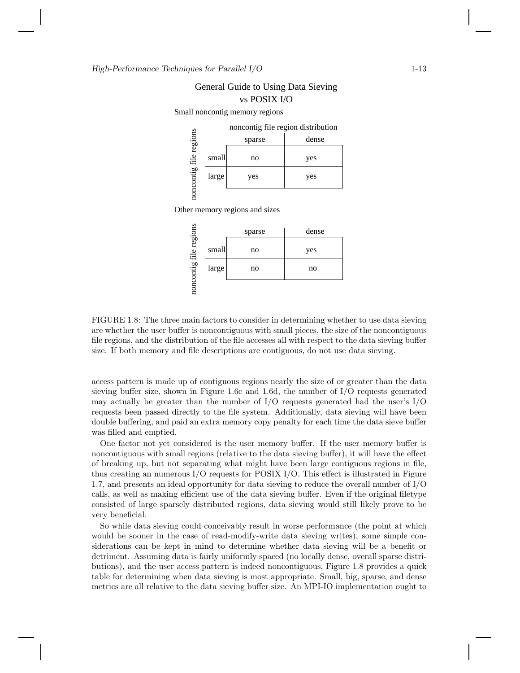# vs POSIX I/O General Guide to Using Data Sieving

Small noncontig memory regions

|                        |       | noncontig file region distribution |       |
|------------------------|-------|------------------------------------|-------|
|                        |       | sparse                             | dense |
|                        | small | no                                 | yes   |
| noncontig file regions |       |                                    |       |
|                        | large | yes                                | yes   |
|                        |       |                                    |       |

Other memory regions and sizes

|                       |       | sparse | dense |
|-----------------------|-------|--------|-------|
|                       | small | no     | yes   |
| oncontig file regions | large | no     | no    |
|                       |       |        |       |

FIGURE 1.8: The three main factors to consider in determining whether to use data sieving are whether the user buffer is noncontiguous with small pieces, the size of the noncontiguous file regions, and the distribution of the file accesses all with respect to the data sieving buffer size. If both memory and file descriptions are contiguous, do not use data sieving.

access pattern is made up of contiguous regions nearly the size of or greater than the data sieving buffer size, shown in Figure 1.6c and 1.6d, the number of I/O requests generated may actually be greater than the number of I/O requests generated had the user's I/O requests been passed directly to the file system. Additionally, data sieving will have been double buffering, and paid an extra memory copy penalty for each time the data sieve buffer was filled and emptied.

One factor not yet considered is the user memory buffer. If the user memory buffer is noncontiguous with small regions (relative to the data sieving buffer), it will have the effect of breaking up, but not separating what might have been large contiguous regions in file, thus creating an numerous I/O requests for POSIX I/O. This effect is illustrated in Figure 1.7, and presents an ideal opportunity for data sieving to reduce the overall number of I/O calls, as well as making efficient use of the data sieving buffer. Even if the original filetype consisted of large sparsely distributed regions, data sieving would still likely prove to be very beneficial.

So while data sieving could conceivably result in worse performance (the point at which would be sooner in the case of read-modify-write data sieving writes), some simple considerations can be kept in mind to determine whether data sieving will be a benefit or detriment. Assuming data is fairly uniformly spaced (no locally dense, overall sparse distributions), and the user access pattern is indeed noncontiguous, Figure 1.8 provides a quick table for determining when data sieving is most appropriate. Small, big, sparse, and dense metrics are all relative to the data sieving buffer size. An MPI-IO implementation ought to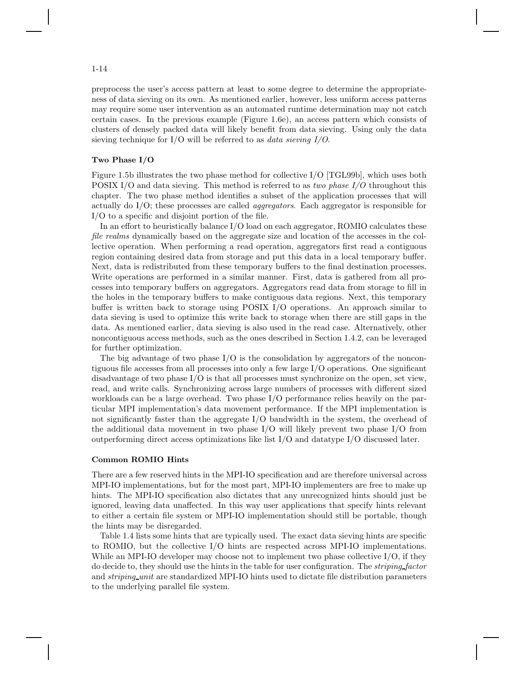preprocess the user's access pattern at least to some degree to determine the appropriateness of data sieving on its own. As mentioned earlier, however, less uniform access patterns may require some user intervention as an automated runtime determination may not catch certain cases. In the previous example (Figure 1.6e), an access pattern which consists of clusters of densely packed data will likely benefit from data sieving. Using only the data sieving technique for I/O will be referred to as *data sieving I/O*.

#### **Two Phase I/O**

Figure 1.5b illustrates the two phase method for collective I/O [TGL99b], which uses both POSIX I/O and data sieving. This method is referred to as *two phase I/O* throughout this chapter. The two phase method identifies a subset of the application processes that will actually do I/O; these processes are called *aggregators*. Each aggregator is responsible for I/O to a specific and disjoint portion of the file.

In an effort to heuristically balance I/O load on each aggregator, ROMIO calculates these *file realms* dynamically based on the aggregate size and location of the accesses in the collective operation. When performing a read operation, aggregators first read a contiguous region containing desired data from storage and put this data in a local temporary buffer. Next, data is redistributed from these temporary buffers to the final destination processes. Write operations are performed in a similar manner. First, data is gathered from all processes into temporary buffers on aggregators. Aggregators read data from storage to fill in the holes in the temporary buffers to make contiguous data regions. Next, this temporary buffer is written back to storage using POSIX I/O operations. An approach similar to data sieving is used to optimize this write back to storage when there are still gaps in the data. As mentioned earlier, data sieving is also used in the read case. Alternatively, other noncontiguous access methods, such as the ones described in Section 1.4.2, can be leveraged for further optimization.

The big advantage of two phase  $I/O$  is the consolidation by aggregators of the noncontiguous file accesses from all processes into only a few large I/O operations. One significant disadvantage of two phase I/O is that all processes must synchronize on the open, set view, read, and write calls. Synchronizing across large numbers of processes with different sized workloads can be a large overhead. Two phase I/O performance relies heavily on the particular MPI implementation's data movement performance. If the MPI implementation is not significantly faster than the aggregate I/O bandwidth in the system, the overhead of the additional data movement in two phase I/O will likely prevent two phase I/O from outperforming direct access optimizations like list I/O and datatype I/O discussed later.

#### **Common ROMIO Hints**

There are a few reserved hints in the MPI-IO specification and are therefore universal across MPI-IO implementations, but for the most part, MPI-IO implementers are free to make up hints. The MPI-IO specification also dictates that any unrecognized hints should just be ignored, leaving data unaffected. In this way user applications that specify hints relevant to either a certain file system or MPI-IO implementation should still be portable, though the hints may be disregarded.

Table 1.4 lists some hints that are typically used. The exact data sieving hints are specific to ROMIO, but the collective I/O hints are respected across MPI-IO implementations. While an MPI-IO developer may choose not to implement two phase collective  $I/O$ , if they do decide to, they should use the hints in the table for user configuration. The *striping factor* and *striping unit* are standardized MPI-IO hints used to dictate file distribution parameters to the underlying parallel file system.

#### 1-14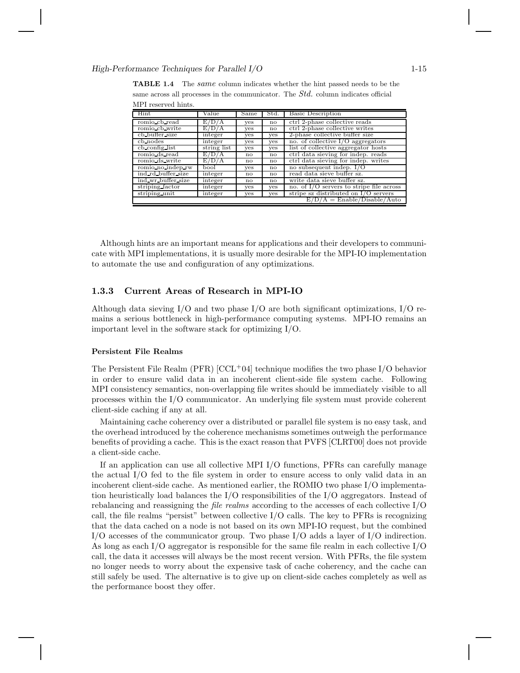| MPI reserved hints.           |             |      |                        |                                            |
|-------------------------------|-------------|------|------------------------|--------------------------------------------|
| Hint                          | Value       | Same | Std.                   | <b>Basic Description</b>                   |
| romio_cb_read                 | E/D/A       | yes  | $\mathbf{n}$           | ctrl 2-phase collective reads              |
| romio cb write                | E/D/A       | yes  | no                     | ctrl 2-phase collective writes             |
| cb_buffer_size                | integer     | yes  | yes                    | 2-phase collective buffer size             |
| cb nodes                      | integer     | ves  | yes                    | no. of collective $I/O$ aggregators        |
| cb config list                | string list | yes  | yes                    | list of collective aggregator hosts        |
| romio_ds_read                 | E/D/A       | no   | $\mathbf{n}\mathbf{o}$ | ctrl data sieving for indep. reads         |
| romio_ds_write                | E/D/A       | no   | $\mathbf{n}\mathbf{o}$ | ctrl data sieving for indep. writes        |
| romio no indep rw             | bool        | yes  | no                     | no subsequent indep. $I/O$                 |
| ind rd buffer size            | integer     | no   | no                     | read data sieve buffer sz.                 |
| ind wr buffer size            | integer     | no   | no                     | write data sieve buffer sz.                |
| striping factor               | integer     | yes  | yes                    | no. of $I/O$ servers to stripe file across |
| striping unit                 | integer     | yes  | yes                    | stripe sz distributed on $I/O$ servers     |
| $E/D/A =$ Enable/Disable/Auto |             |      |                        |                                            |

**TABLE 1.4** The *same* column indicates whether the hint passed needs to be the same across all processes in the communicator. The *Std.* column indicates official MPI reserved hints.

Although hints are an important means for applications and their developers to communicate with MPI implementations, it is usually more desirable for the MPI-IO implementation to automate the use and configuration of any optimizations.

#### **1.3.3 Current Areas of Research in MPI-IO**

Although data sieving  $I/O$  and two phase  $I/O$  are both significant optimizations,  $I/O$  remains a serious bottleneck in high-performance computing systems. MPI-IO remains an important level in the software stack for optimizing I/O.

#### **Persistent File Realms**

The Persistent File Realm (PFR)  $[CL<sup>+</sup>04]$  technique modifies the two phase I/O behavior in order to ensure valid data in an incoherent client-side file system cache. Following MPI consistency semantics, non-overlapping file writes should be immediately visible to all processes within the I/O communicator. An underlying file system must provide coherent client-side caching if any at all.

Maintaining cache coherency over a distributed or parallel file system is no easy task, and the overhead introduced by the coherence mechanisms sometimes outweigh the performance benefits of providing a cache. This is the exact reason that PVFS [CLRT00] does not provide a client-side cache.

If an application can use all collective MPI I/O functions, PFRs can carefully manage the actual I/O fed to the file system in order to ensure access to only valid data in an incoherent client-side cache. As mentioned earlier, the ROMIO two phase I/O implementation heuristically load balances the I/O responsibilities of the I/O aggregators. Instead of rebalancing and reassigning the *file realms* according to the accesses of each collective I/O call, the file realms "persist" between collective  $I/O$  calls. The key to PFRs is recognizing that the data cached on a node is not based on its own MPI-IO request, but the combined I/O accesses of the communicator group. Two phase I/O adds a layer of I/O indirection. As long as each I/O aggregator is responsible for the same file realm in each collective I/O call, the data it accesses will always be the most recent version. With PFRs, the file system no longer needs to worry about the expensive task of cache coherency, and the cache can still safely be used. The alternative is to give up on client-side caches completely as well as the performance boost they offer.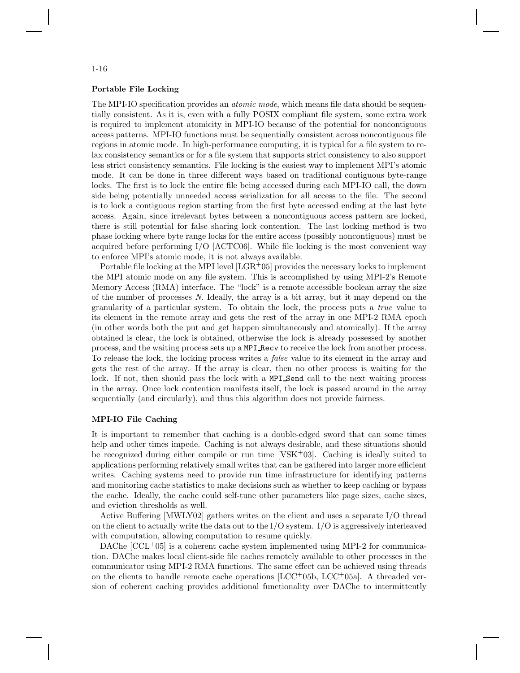#### **Portable File Locking**

The MPI-IO specification provides an *atomic mode*, which means file data should be sequentially consistent. As it is, even with a fully POSIX compliant file system, some extra work is required to implement atomicity in MPI-IO because of the potential for noncontiguous access patterns. MPI-IO functions must be sequentially consistent across noncontiguous file regions in atomic mode. In high-performance computing, it is typical for a file system to relax consistency semantics or for a file system that supports strict consistency to also support less strict consistency semantics. File locking is the easiest way to implement MPI's atomic mode. It can be done in three different ways based on traditional contiguous byte-range locks. The first is to lock the entire file being accessed during each MPI-IO call, the down side being potentially unneeded access serialization for all access to the file. The second is to lock a contiguous region starting from the first byte accessed ending at the last byte access. Again, since irrelevant bytes between a noncontiguous access pattern are locked, there is still potential for false sharing lock contention. The last locking method is two phase locking where byte range locks for the entire access (possibly noncontiguous) must be acquired before performing I/O [ACTC06]. While file locking is the most convenient way to enforce MPI's atomic mode, it is not always available.

Portable file locking at the MPI level  $[{\rm LGR}^{+}05]$  provides the necessary locks to implement the MPI atomic mode on any file system. This is accomplished by using MPI-2's Remote Memory Access (RMA) interface. The "lock" is a remote accessible boolean array the size of the number of processes *N*. Ideally, the array is a bit array, but it may depend on the granularity of a particular system. To obtain the lock, the process puts a *true* value to its element in the remote array and gets the rest of the array in one MPI-2 RMA epoch (in other words both the put and get happen simultaneously and atomically). If the array obtained is clear, the lock is obtained, otherwise the lock is already possessed by another process, and the waiting process sets up a MPI Recv to receive the lock from another process. To release the lock, the locking process writes a *false* value to its element in the array and gets the rest of the array. If the array is clear, then no other process is waiting for the lock. If not, then should pass the lock with a MPI Send call to the next waiting process in the array. Once lock contention manifests itself, the lock is passed around in the array sequentially (and circularly), and thus this algorithm does not provide fairness.

#### **MPI-IO File Caching**

It is important to remember that caching is a double-edged sword that can some times help and other times impede. Caching is not always desirable, and these situations should be recognized during either compile or run time  $|VSK^{\dagger}03|$ . Caching is ideally suited to applications performing relatively small writes that can be gathered into larger more efficient writes. Caching systems need to provide run time infrastructure for identifying patterns and monitoring cache statistics to make decisions such as whether to keep caching or bypass the cache. Ideally, the cache could self-tune other parameters like page sizes, cache sizes, and eviction thresholds as well.

Active Buffering [MWLY02] gathers writes on the client and uses a separate I/O thread on the client to actually write the data out to the  $I/O$  system.  $I/O$  is aggressively interleaved with computation, allowing computation to resume quickly.

DAChe  $[CL<sup>+</sup>05]$  is a coherent cache system implemented using MPI-2 for communication. DAChe makes local client-side file caches remotely available to other processes in the communicator using MPI-2 RMA functions. The same effect can be achieved using threads on the clients to handle remote cache operations  $[LCC+05b, LCC+05a]$ . A threaded version of coherent caching provides additional functionality over DAChe to intermittently

#### 1-16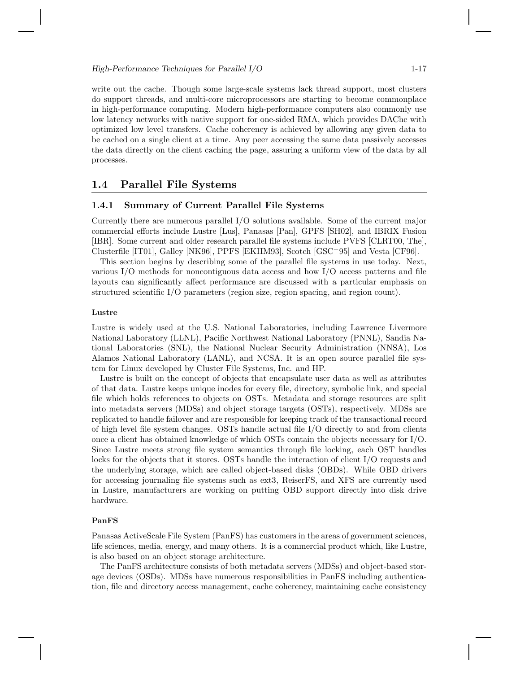#### *High-Performance Techniques for Parallel I/O* 1-17

write out the cache. Though some large-scale systems lack thread support, most clusters do support threads, and multi-core microprocessors are starting to become commonplace in high-performance computing. Modern high-performance computers also commonly use low latency networks with native support for one-sided RMA, which provides DAChe with optimized low level transfers. Cache coherency is achieved by allowing any given data to be cached on a single client at a time. Any peer accessing the same data passively accesses the data directly on the client caching the page, assuring a uniform view of the data by all processes.

# **1.4 Parallel File Systems**

# **1.4.1 Summary of Current Parallel File Systems**

Currently there are numerous parallel I/O solutions available. Some of the current major commercial efforts include Lustre [Lus], Panasas [Pan], GPFS [SH02], and IBRIX Fusion [IBR]. Some current and older research parallel file systems include PVFS [CLRT00, The], Clusterfile [IT01], Galley [NK96], PPFS [EKHM93], Scotch [GSC<sup>+</sup>95] and Vesta [CF96].

This section begins by describing some of the parallel file systems in use today. Next, various I/O methods for noncontiguous data access and how I/O access patterns and file layouts can significantly affect performance are discussed with a particular emphasis on structured scientific I/O parameters (region size, region spacing, and region count).

#### **Lustre**

Lustre is widely used at the U.S. National Laboratories, including Lawrence Livermore National Laboratory (LLNL), Pacific Northwest National Laboratory (PNNL), Sandia National Laboratories (SNL), the National Nuclear Security Administration (NNSA), Los Alamos National Laboratory (LANL), and NCSA. It is an open source parallel file system for Linux developed by Cluster File Systems, Inc. and HP.

Lustre is built on the concept of objects that encapsulate user data as well as attributes of that data. Lustre keeps unique inodes for every file, directory, symbolic link, and special file which holds references to objects on OSTs. Metadata and storage resources are split into metadata servers (MDSs) and object storage targets (OSTs), respectively. MDSs are replicated to handle failover and are responsible for keeping track of the transactional record of high level file system changes. OSTs handle actual file I/O directly to and from clients once a client has obtained knowledge of which OSTs contain the objects necessary for I/O. Since Lustre meets strong file system semantics through file locking, each OST handles locks for the objects that it stores. OSTs handle the interaction of client I/O requests and the underlying storage, which are called object-based disks (OBDs). While OBD drivers for accessing journaling file systems such as ext3, ReiserFS, and XFS are currently used in Lustre, manufacturers are working on putting OBD support directly into disk drive hardware.

#### **PanFS**

Panasas ActiveScale File System (PanFS) has customers in the areas of government sciences, life sciences, media, energy, and many others. It is a commercial product which, like Lustre, is also based on an object storage architecture.

The PanFS architecture consists of both metadata servers (MDSs) and object-based storage devices (OSDs). MDSs have numerous responsibilities in PanFS including authentication, file and directory access management, cache coherency, maintaining cache consistency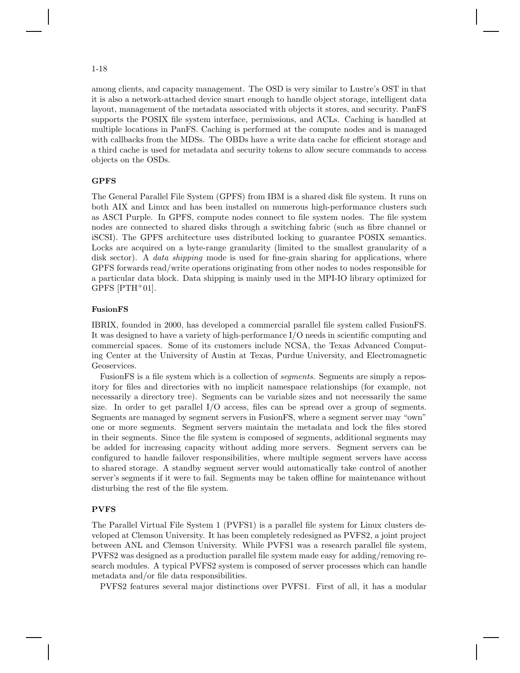# among clients, and capacity management. The OSD is very similar to Lustre's OST in that it is also a network-attached device smart enough to handle object storage, intelligent data layout, management of the metadata associated with objects it stores, and security. PanFS supports the POSIX file system interface, permissions, and ACLs. Caching is handled at multiple locations in PanFS. Caching is performed at the compute nodes and is managed with callbacks from the MDSs. The OBDs have a write data cache for efficient storage and a third cache is used for metadata and security tokens to allow secure commands to access objects on the OSDs.

#### **GPFS**

The General Parallel File System (GPFS) from IBM is a shared disk file system. It runs on both AIX and Linux and has been installed on numerous high-performance clusters such as ASCI Purple. In GPFS, compute nodes connect to file system nodes. The file system nodes are connected to shared disks through a switching fabric (such as fibre channel or iSCSI). The GPFS architecture uses distributed locking to guarantee POSIX semantics. Locks are acquired on a byte-range granularity (limited to the smallest granularity of a disk sector). A *data shipping* mode is used for fine-grain sharing for applications, where GPFS forwards read/write operations originating from other nodes to nodes responsible for a particular data block. Data shipping is mainly used in the MPI-IO library optimized for GPFS  $[PTH+01]$ .

#### **FusionFS**

IBRIX, founded in 2000, has developed a commercial parallel file system called FusionFS. It was designed to have a variety of high-performance I/O needs in scientific computing and commercial spaces. Some of its customers include NCSA, the Texas Advanced Computing Center at the University of Austin at Texas, Purdue University, and Electromagnetic Geoservices.

FusionFS is a file system which is a collection of *segments*. Segments are simply a repository for files and directories with no implicit namespace relationships (for example, not necessarily a directory tree). Segments can be variable sizes and not necessarily the same size. In order to get parallel I/O access, files can be spread over a group of segments. Segments are managed by segment servers in FusionFS, where a segment server may "own" one or more segments. Segment servers maintain the metadata and lock the files stored in their segments. Since the file system is composed of segments, additional segments may be added for increasing capacity without adding more servers. Segment servers can be configured to handle failover responsibilities, where multiple segment servers have access to shared storage. A standby segment server would automatically take control of another server's segments if it were to fail. Segments may be taken offline for maintenance without disturbing the rest of the file system.

#### **PVFS**

The Parallel Virtual File System 1 (PVFS1) is a parallel file system for Linux clusters developed at Clemson University. It has been completely redesigned as PVFS2, a joint project between ANL and Clemson University. While PVFS1 was a research parallel file system, PVFS2 was designed as a production parallel file system made easy for adding/removing research modules. A typical PVFS2 system is composed of server processes which can handle metadata and/or file data responsibilities.

PVFS2 features several major distinctions over PVFS1. First of all, it has a modular

#### 1-18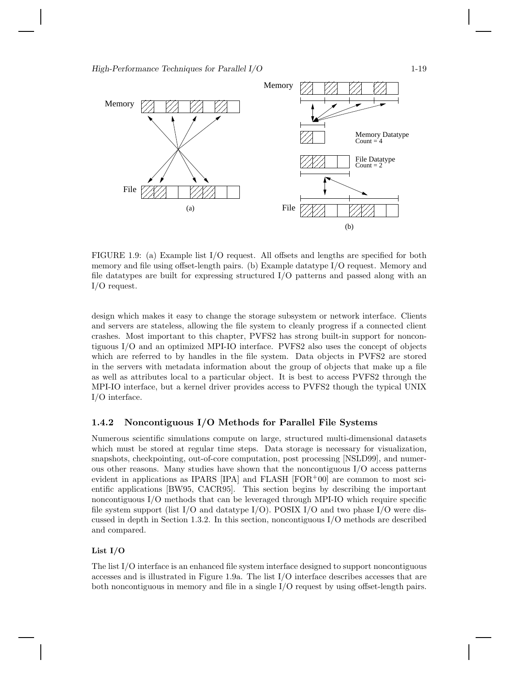*High-Performance Techniques for Parallel I/O* 1-19

![](_page_18_Figure_1.jpeg)

FIGURE 1.9: (a) Example list I/O request. All offsets and lengths are specified for both memory and file using offset-length pairs. (b) Example datatype I/O request. Memory and file datatypes are built for expressing structured I/O patterns and passed along with an I/O request.

design which makes it easy to change the storage subsystem or network interface. Clients and servers are stateless, allowing the file system to cleanly progress if a connected client crashes. Most important to this chapter, PVFS2 has strong built-in support for noncontiguous I/O and an optimized MPI-IO interface. PVFS2 also uses the concept of objects which are referred to by handles in the file system. Data objects in PVFS2 are stored in the servers with metadata information about the group of objects that make up a file as well as attributes local to a particular object. It is best to access PVFS2 through the MPI-IO interface, but a kernel driver provides access to PVFS2 though the typical UNIX I/O interface.

# **1.4.2 Noncontiguous I/O Methods for Parallel File Systems**

Numerous scientific simulations compute on large, structured multi-dimensional datasets which must be stored at regular time steps. Data storage is necessary for visualization, snapshots, checkpointing, out-of-core computation, post processing [NSLD99], and numerous other reasons. Many studies have shown that the noncontiguous I/O access patterns evident in applications as IPARS  $[IPA]$  and FLASH  $[FOR<sup>+</sup>00]$  are common to most scientific applications [BW95, CACR95]. This section begins by describing the important noncontiguous I/O methods that can be leveraged through MPI-IO which require specific file system support (list  $I/O$  and datatype  $I/O$ ). POSIX  $I/O$  and two phase  $I/O$  were discussed in depth in Section 1.3.2. In this section, noncontiguous I/O methods are described and compared.

#### **List I/O**

The list I/O interface is an enhanced file system interface designed to support noncontiguous accesses and is illustrated in Figure 1.9a. The list I/O interface describes accesses that are both noncontiguous in memory and file in a single I/O request by using offset-length pairs.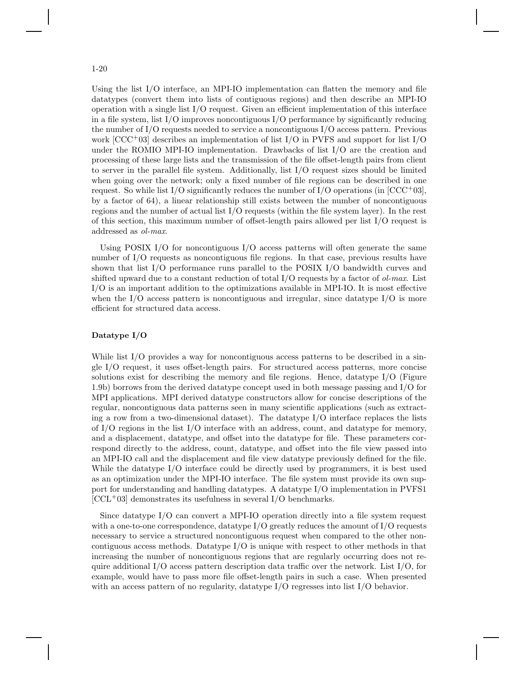1-20

Using the list I/O interface, an MPI-IO implementation can flatten the memory and file datatypes (convert them into lists of contiguous regions) and then describe an MPI-IO operation with a single list I/O request. Given an efficient implementation of this interface in a file system, list I/O improves noncontiguous I/O performance by significantly reducing the number of I/O requests needed to service a noncontiguous I/O access pattern. Previous work  $[CCC+03]$  describes an implementation of list I/O in PVFS and support for list I/O under the ROMIO MPI-IO implementation. Drawbacks of list I/O are the creation and processing of these large lists and the transmission of the file offset-length pairs from client to server in the parallel file system. Additionally, list I/O request sizes should be limited when going over the network; only a fixed number of file regions can be described in one request. So while list I/O significantly reduces the number of I/O operations (in  $[CCC^+03]$ , by a factor of 64), a linear relationship still exists between the number of noncontiguous regions and the number of actual list I/O requests (within the file system layer). In the rest of this section, this maximum number of offset-length pairs allowed per list I/O request is addressed as *ol-max*.

Using POSIX I/O for noncontiguous I/O access patterns will often generate the same number of I/O requests as noncontiguous file regions. In that case, previous results have shown that list I/O performance runs parallel to the POSIX I/O bandwidth curves and shifted upward due to a constant reduction of total I/O requests by a factor of *ol-max*. List I/O is an important addition to the optimizations available in MPI-IO. It is most effective when the  $I/O$  access pattern is noncontiguous and irregular, since datatype  $I/O$  is more efficient for structured data access.

#### **Datatype I/O**

While list I/O provides a way for noncontiguous access patterns to be described in a single I/O request, it uses offset-length pairs. For structured access patterns, more concise solutions exist for describing the memory and file regions. Hence, datatype I/O (Figure 1.9b) borrows from the derived datatype concept used in both message passing and I/O for MPI applications. MPI derived datatype constructors allow for concise descriptions of the regular, noncontiguous data patterns seen in many scientific applications (such as extracting a row from a two-dimensional dataset). The datatype I/O interface replaces the lists of I/O regions in the list I/O interface with an address, count, and datatype for memory, and a displacement, datatype, and offset into the datatype for file. These parameters correspond directly to the address, count, datatype, and offset into the file view passed into an MPI-IO call and the displacement and file view datatype previously defined for the file. While the datatype I/O interface could be directly used by programmers, it is best used as an optimization under the MPI-IO interface. The file system must provide its own support for understanding and handling datatypes. A datatype I/O implementation in PVFS1  $[CL<sup>+</sup>03]$  demonstrates its usefulness in several I/O benchmarks.

Since datatype I/O can convert a MPI-IO operation directly into a file system request with a one-to-one correspondence, datatype  $I/O$  greatly reduces the amount of  $I/O$  requests necessary to service a structured noncontiguous request when compared to the other noncontiguous access methods. Datatype I/O is unique with respect to other methods in that increasing the number of noncontiguous regions that are regularly occurring does not require additional I/O access pattern description data traffic over the network. List I/O, for example, would have to pass more file offset-length pairs in such a case. When presented with an access pattern of no regularity, datatype I/O regresses into list I/O behavior.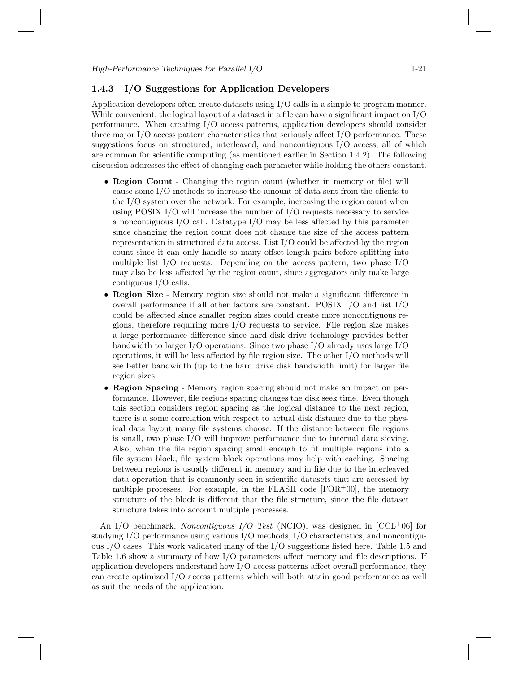#### **1.4.3 I/O Suggestions for Application Developers**

Application developers often create datasets using I/O calls in a simple to program manner. While convenient, the logical layout of a dataset in a file can have a significant impact on I/O performance. When creating I/O access patterns, application developers should consider three major I/O access pattern characteristics that seriously affect I/O performance. These suggestions focus on structured, interleaved, and noncontiguous I/O access, all of which are common for scientific computing (as mentioned earlier in Section 1.4.2). The following discussion addresses the effect of changing each parameter while holding the others constant.

- *•* **Region Count** Changing the region count (whether in memory or file) will cause some I/O methods to increase the amount of data sent from the clients to the I/O system over the network. For example, increasing the region count when using POSIX I/O will increase the number of I/O requests necessary to service a noncontiguous I/O call. Datatype I/O may be less affected by this parameter since changing the region count does not change the size of the access pattern representation in structured data access. List I/O could be affected by the region count since it can only handle so many offset-length pairs before splitting into multiple list I/O requests. Depending on the access pattern, two phase I/O may also be less affected by the region count, since aggregators only make large contiguous I/O calls.
- *•* **Region Size** Memory region size should not make a significant difference in overall performance if all other factors are constant. POSIX I/O and list I/O could be affected since smaller region sizes could create more noncontiguous regions, therefore requiring more I/O requests to service. File region size makes a large performance difference since hard disk drive technology provides better bandwidth to larger I/O operations. Since two phase I/O already uses large I/O operations, it will be less affected by file region size. The other I/O methods will see better bandwidth (up to the hard drive disk bandwidth limit) for larger file region sizes.
- *•* **Region Spacing** Memory region spacing should not make an impact on performance. However, file regions spacing changes the disk seek time. Even though this section considers region spacing as the logical distance to the next region, there is a some correlation with respect to actual disk distance due to the physical data layout many file systems choose. If the distance between file regions is small, two phase I/O will improve performance due to internal data sieving. Also, when the file region spacing small enough to fit multiple regions into a file system block, file system block operations may help with caching. Spacing between regions is usually different in memory and in file due to the interleaved data operation that is commonly seen in scientific datasets that are accessed by multiple processes. For example, in the FLASH code  $[FOR<sup>+</sup>00]$ , the memory structure of the block is different that the file structure, since the file dataset structure takes into account multiple processes.

An I/O benchmark, *Noncontiguous I/O Test* (NCIO), was designed in [CCL<sup>+</sup>06] for studying I/O performance using various I/O methods, I/O characteristics, and noncontiguous I/O cases. This work validated many of the I/O suggestions listed here. Table 1.5 and Table 1.6 show a summary of how I/O parameters affect memory and file descriptions. If application developers understand how I/O access patterns affect overall performance, they can create optimized I/O access patterns which will both attain good performance as well as suit the needs of the application.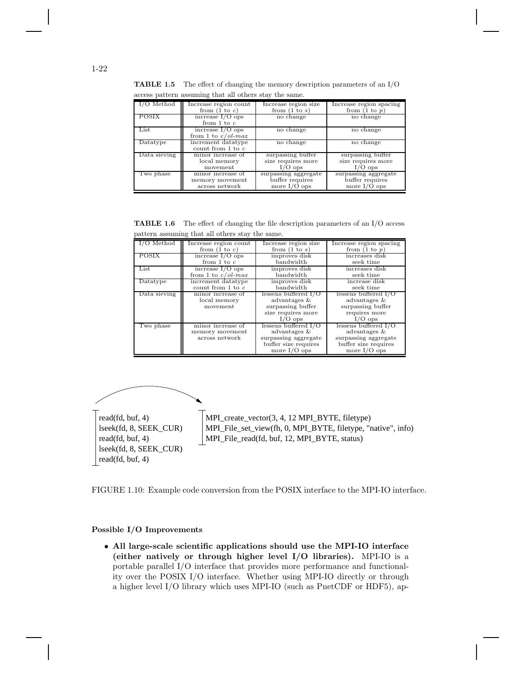**TABLE 1.5** The effect of changing the memory description parameters of an I/O access pattern assuming that all others stay the same.

| 'O Method    | Increase region count<br>from $(1 \text{ to } c)$      | Increase region size<br>from $(1 \text{ to } s)$          | Increase region spacing<br>from $(1 \text{ to } p)$       |
|--------------|--------------------------------------------------------|-----------------------------------------------------------|-----------------------------------------------------------|
| <b>POSIX</b> | increase $I/O$ ops<br>from $1$ to $c$                  | no change                                                 | no change                                                 |
| List         | increase $I/O$ ops<br>from 1 to $c/ol$ -max            | no change                                                 | no change                                                 |
| Datatype     | increment datatype<br>count from $1$ to $c$            | no change                                                 | no change                                                 |
| Data sieving | minor increase of<br>local memory<br>movement          | surpassing buffer<br>size requires more<br>:/O ops        | surpassing buffer<br>size requires more<br>O ops          |
| Two phase    | minor increase of<br>memory movement<br>across network | surpassing aggregate<br>buffer requires<br>more $I/O$ ops | surpassing aggregate<br>buffer requires<br>more $I/O$ ops |

**TABLE 1.6** The effect of changing the file description parameters of an I/O access pattern assuming that all others stay the same.

| Method        | Increase region count    | Increase region size     | Increase region spacing  |
|---------------|--------------------------|--------------------------|--------------------------|
|               | from $(1 \text{ to } c)$ | from $(1 \text{ to } s)$ | from $(1 \text{ to } p)$ |
| POSIX         | increase $I/O$ ops       | improves disk            | increases disk           |
|               | from $1$ to $c$          | bandwidth                | seek time                |
| $_{\rm List}$ | increase $I/O$ ops       | improves disk            | increases disk           |
|               | from 1 to $c/ol$ -max    | bandwidth                | seek time                |
| Datatype      | increment datatype       | improves disk            | increase disk            |
|               | count from $1$ to $c$    | bandwidth                | seek time                |
| Data sieving  | minor increase of        | lessens buffered I/O     | lessens buffered I/O     |
|               | local memory             | advantages &             | advantages $\&$          |
|               | movement                 | surpassing buffer        | surpassing buffer        |
|               |                          | size requires more       | requires more            |
|               |                          | $I/O$ ops                | $I/O$ ops                |
| Two phase     | minor increase of        | lessens buffered I/O     | lessens buffered I/O     |
|               | memory movement          | advantages &             | advantages $\&$          |
|               | across network           | surpassing aggregate     | surpassing aggregate     |
|               |                          | buffer size requires     | buffer size requires     |
|               |                          | more $I/O$ ops           | more $I/O$ ops           |

read(fd, buf, 4) lseek(fd, 8, SEEK\_CUR) read(fd, buf, 4) lseek(fd, 8, SEEK\_CUR) read(fd, buf, 4)

MPI\_create\_vector(3, 4, 12 MPI\_BYTE, filetype) MPI\_File\_read(fd, buf, 12, MPI\_BYTE, status) MPI\_File\_set\_view(fh, 0, MPI\_BYTE, filetype, "native", info)

FIGURE 1.10: Example code conversion from the POSIX interface to the MPI-IO interface.

#### **Possible I/O Improvements**

*•* **All large-scale scientific applications should use the MPI-IO interface (either natively or through higher level I/O libraries).** MPI-IO is a portable parallel I/O interface that provides more performance and functionality over the POSIX I/O interface. Whether using MPI-IO directly or through a higher level I/O library which uses MPI-IO (such as PnetCDF or HDF5), ap-

1-22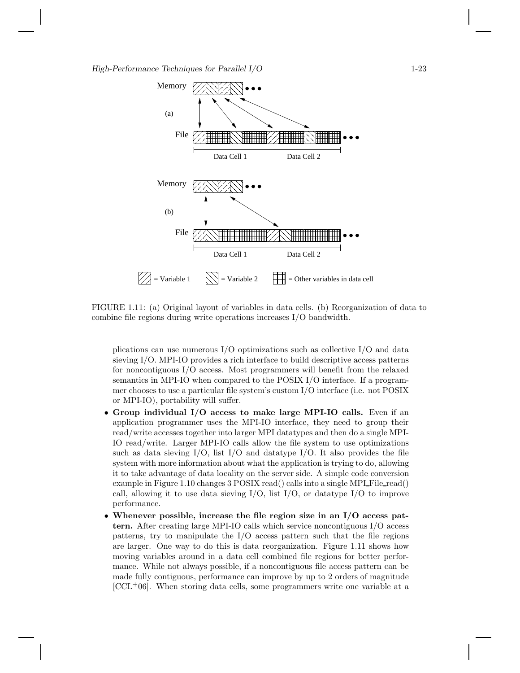![](_page_22_Figure_1.jpeg)

FIGURE 1.11: (a) Original layout of variables in data cells. (b) Reorganization of data to combine file regions during write operations increases I/O bandwidth.

plications can use numerous I/O optimizations such as collective I/O and data sieving I/O. MPI-IO provides a rich interface to build descriptive access patterns for noncontiguous I/O access. Most programmers will benefit from the relaxed semantics in MPI-IO when compared to the POSIX I/O interface. If a programmer chooses to use a particular file system's custom I/O interface (i.e. not POSIX or MPI-IO), portability will suffer.

- *•* **Group individual I/O access to make large MPI-IO calls.** Even if an application programmer uses the MPI-IO interface, they need to group their read/write accesses together into larger MPI datatypes and then do a single MPI-IO read/write. Larger MPI-IO calls allow the file system to use optimizations such as data sieving  $I/O$ , list  $I/O$  and datatype  $I/O$ . It also provides the file system with more information about what the application is trying to do, allowing it to take advantage of data locality on the server side. A simple code conversion example in Figure 1.10 changes 3 POSIX read() calls into a single MPI File read() call, allowing it to use data sieving  $I/O$ , list  $I/O$ , or datatype  $I/O$  to improve performance.
- *•* **Whenever possible, increase the file region size in an I/O access pattern.** After creating large MPI-IO calls which service noncontiguous I/O access patterns, try to manipulate the  $I/O$  access pattern such that the file regions are larger. One way to do this is data reorganization. Figure 1.11 shows how moving variables around in a data cell combined file regions for better performance. While not always possible, if a noncontiguous file access pattern can be made fully contiguous, performance can improve by up to 2 orders of magnitude  $[CL<sup>+</sup>06]$ . When storing data cells, some programmers write one variable at a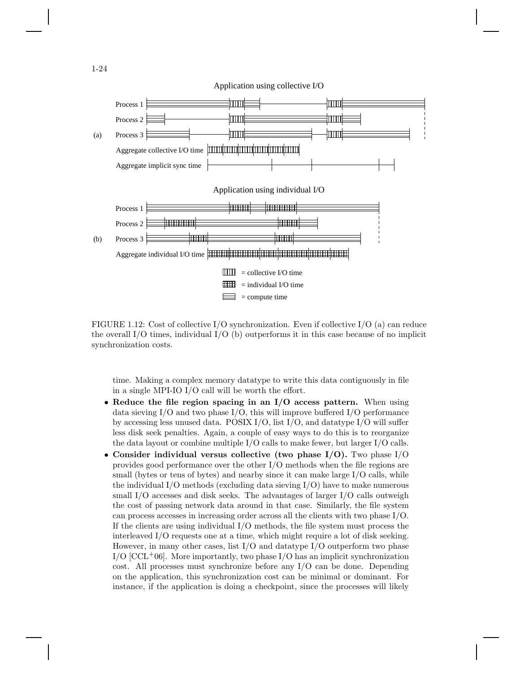![](_page_23_Figure_0.jpeg)

FIGURE 1.12: Cost of collective I/O synchronization. Even if collective I/O (a) can reduce the overall I/O times, individual I/O (b) outperforms it in this case because of no implicit synchronization costs.

time. Making a complex memory datatype to write this data contiguously in file in a single MPI-IO I/O call will be worth the effort.

- *•* **Reduce the file region spacing in an I/O access pattern.** When using data sieving I/O and two phase I/O, this will improve buffered I/O performance by accessing less unused data. POSIX I/O, list I/O, and datatype I/O will suffer less disk seek penalties. Again, a couple of easy ways to do this is to reorganize the data layout or combine multiple I/O calls to make fewer, but larger I/O calls.
- *•* **Consider individual versus collective (two phase I/O).** Two phase I/O provides good performance over the other I/O methods when the file regions are small (bytes or tens of bytes) and nearby since it can make large I/O calls, while the individual I/O methods (excluding data sieving I/O) have to make numerous small I/O accesses and disk seeks. The advantages of larger I/O calls outweigh the cost of passing network data around in that case. Similarly, the file system can process accesses in increasing order across all the clients with two phase I/O. If the clients are using individual I/O methods, the file system must process the interleaved I/O requests one at a time, which might require a lot of disk seeking. However, in many other cases, list I/O and datatype I/O outperform two phase  $I/O$  [CCL<sup>+</sup>06]. More importantly, two phase  $I/O$  has an implicit synchronization cost. All processes must synchronize before any I/O can be done. Depending on the application, this synchronization cost can be minimal or dominant. For instance, if the application is doing a checkpoint, since the processes will likely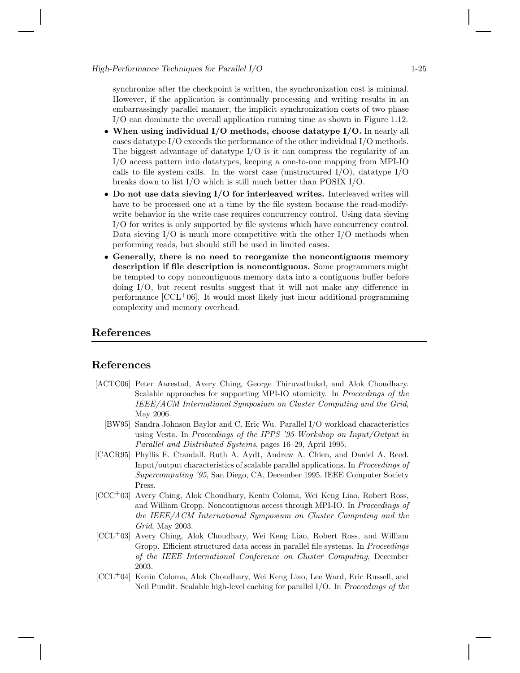synchronize after the checkpoint is written, the synchronization cost is minimal. However, if the application is continually processing and writing results in an embarrassingly parallel manner, the implicit synchronization costs of two phase I/O can dominate the overall application running time as shown in Figure 1.12.

- *•* **When using individual I/O methods, choose datatype I/O.** In nearly all cases datatype I/O exceeds the performance of the other individual I/O methods. The biggest advantage of datatype I/O is it can compress the regularity of an I/O access pattern into datatypes, keeping a one-to-one mapping from MPI-IO calls to file system calls. In the worst case (unstructured  $I/O$ ), datatype  $I/O$ breaks down to list I/O which is still much better than POSIX I/O.
- *•* **Do not use data sieving I/O for interleaved writes.** Interleaved writes will have to be processed one at a time by the file system because the read-modifywrite behavior in the write case requires concurrency control. Using data sieving I/O for writes is only supported by file systems which have concurrency control. Data sieving  $I/O$  is much more competitive with the other  $I/O$  methods when performing reads, but should still be used in limited cases.
- *•* **Generally, there is no need to reorganize the noncontiguous memory description if file description is noncontiguous.** Some programmers might be tempted to copy noncontiguous memory data into a contiguous buffer before doing I/O, but recent results suggest that it will not make any difference in performance [CCL<sup>+</sup>06]. It would most likely just incur additional programming complexity and memory overhead.

# **References**

# **References**

- [ACTC06] Peter Aarestad, Avery Ching, George Thiruvathukal, and Alok Choudhary. Scalable approaches for supporting MPI-IO atomicity. In *Proceedings of the IEEE/ACM International Symposium on Cluster Computing and the Grid*, May 2006.
	- [BW95] Sandra Johnson Baylor and C. Eric Wu. Parallel I/O workload characteristics using Vesta. In *Proceedings of the IPPS '95 Workshop on Input/Output in Parallel and Distributed Systems*, pages 16–29, April 1995.
- [CACR95] Phyllis E. Crandall, Ruth A. Aydt, Andrew A. Chien, and Daniel A. Reed. Input/output characteristics of scalable parallel applications. In *Proceedings of Supercomputing '95*, San Diego, CA, December 1995. IEEE Computer Society Press.
- [CCC+03] Avery Ching, Alok Choudhary, Kenin Coloma, Wei Keng Liao, Robert Ross, and William Gropp. Noncontiguous access through MPI-IO. In *Proceedings of the IEEE/ACM International Symposium on Cluster Computing and the Grid*, May 2003.
- [CCL+03] Avery Ching, Alok Choudhary, Wei Keng Liao, Robert Ross, and William Gropp. Efficient structured data access in parallel file systems. In *Proceedings of the IEEE International Conference on Cluster Computing*, December 2003.
- [CCL+04] Kenin Coloma, Alok Choudhary, Wei Keng Liao, Lee Ward, Eric Russell, and Neil Pundit. Scalable high-level caching for parallel I/O. In *Proceedings of the*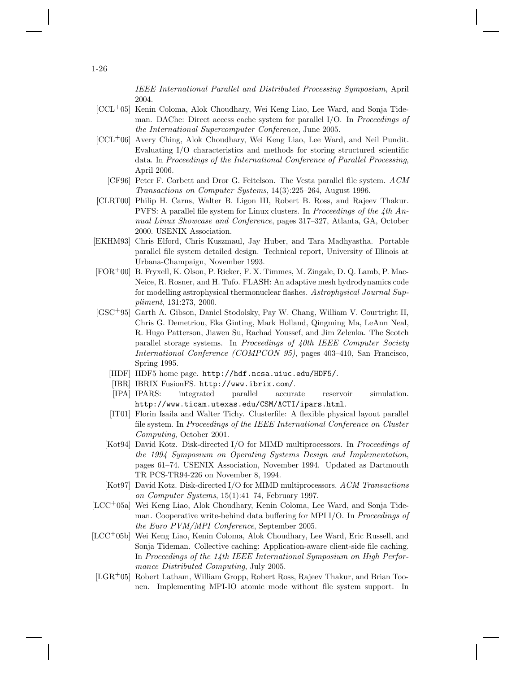*IEEE International Parallel and Distributed Processing Symposium*, April 2004.

- [CCL+05] Kenin Coloma, Alok Choudhary, Wei Keng Liao, Lee Ward, and Sonja Tideman. DAChe: Direct access cache system for parallel I/O. In *Proceedings of the International Supercomputer Conference*, June 2005.
- [CCL+06] Avery Ching, Alok Choudhary, Wei Keng Liao, Lee Ward, and Neil Pundit. Evaluating I/O characteristics and methods for storing structured scientific data. In *Proceedings of the International Conference of Parallel Processing*, April 2006.
	- [CF96] Peter F. Corbett and Dror G. Feitelson. The Vesta parallel file system. *ACM Transactions on Computer Systems*, 14(3):225–264, August 1996.
- [CLRT00] Philip H. Carns, Walter B. Ligon III, Robert B. Ross, and Rajeev Thakur. PVFS: A parallel file system for Linux clusters. In *Proceedings of the 4th Annual Linux Showcase and Conference*, pages 317–327, Atlanta, GA, October 2000. USENIX Association.
- [EKHM93] Chris Elford, Chris Kuszmaul, Jay Huber, and Tara Madhyastha. Portable parallel file system detailed design. Technical report, University of Illinois at Urbana-Champaign, November 1993.
- [FOR+00] B. Fryxell, K. Olson, P. Ricker, F. X. Timmes, M. Zingale, D. Q. Lamb, P. Mac-Neice, R. Rosner, and H. Tufo. FLASH: An adaptive mesh hydrodynamics code for modelling astrophysical thermonuclear flashes. *Astrophysical Journal Suppliment*, 131:273, 2000.
- [GSC+95] Garth A. Gibson, Daniel Stodolsky, Pay W. Chang, William V. Courtright II, Chris G. Demetriou, Eka Ginting, Mark Holland, Qingming Ma, LeAnn Neal, R. Hugo Patterson, Jiawen Su, Rachad Youssef, and Jim Zelenka. The Scotch parallel storage systems. In *Proceedings of 40th IEEE Computer Society International Conference (COMPCON 95)*, pages 403–410, San Francisco, Spring 1995.
	- [HDF] HDF5 home page. http://hdf.ncsa.uiuc.edu/HDF5/.
	- [IBR] IBRIX FusionFS. http://www.ibrix.com/.
	- [IPA] IPARS: integrated parallel accurate reservoir simulation. http://www.ticam.utexas.edu/CSM/ACTI/ipars.html.
	- [IT01] Florin Isaila and Walter Tichy. Clusterfile: A flexible physical layout parallel file system. In *Proceedings of the IEEE International Conference on Cluster Computing*, October 2001.
	- [Kot94] David Kotz. Disk-directed I/O for MIMD multiprocessors. In *Proceedings of the 1994 Symposium on Operating Systems Design and Implementation*, pages 61–74. USENIX Association, November 1994. Updated as Dartmouth TR PCS-TR94-226 on November 8, 1994.
	- [Kot97] David Kotz. Disk-directed I/O for MIMD multiprocessors. *ACM Transactions on Computer Systems*, 15(1):41–74, February 1997.
- [LCC+05a] Wei Keng Liao, Alok Choudhary, Kenin Coloma, Lee Ward, and Sonja Tideman. Cooperative write-behind data buffering for MPI I/O. In *Proceedings of the Euro PVM/MPI Conference*, September 2005.
- [LCC+05b] Wei Keng Liao, Kenin Coloma, Alok Choudhary, Lee Ward, Eric Russell, and Sonja Tideman. Collective caching: Application-aware client-side file caching. In *Proceedings of the 14th IEEE International Symposium on High Performance Distributed Computing*, July 2005.
- [LGR+05] Robert Latham, William Gropp, Robert Ross, Rajeev Thakur, and Brian Toonen. Implementing MPI-IO atomic mode without file system support. In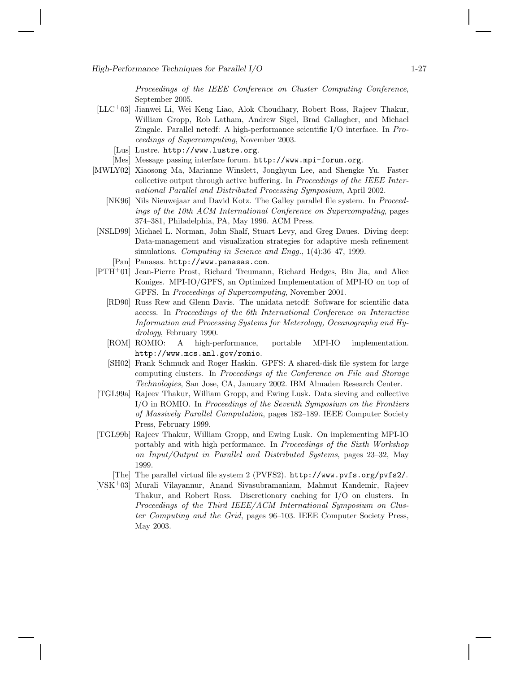*Proceedings of the IEEE Conference on Cluster Computing Conference*, September 2005.

- [LLC+03] Jianwei Li, Wei Keng Liao, Alok Choudhary, Robert Ross, Rajeev Thakur, William Gropp, Rob Latham, Andrew Sigel, Brad Gallagher, and Michael Zingale. Parallel netcdf: A high-performance scientific I/O interface. In *Proceedings of Supercomputing*, November 2003.
	- [Lus] Lustre. http://www.lustre.org.
	- [Mes] Message passing interface forum. http://www.mpi-forum.org.
- [MWLY02] Xiaosong Ma, Marianne Winslett, Jonghyun Lee, and Shengke Yu. Faster collective output through active buffering. In *Proceedings of the IEEE International Parallel and Distributed Processing Symposium*, April 2002.
	- [NK96] Nils Nieuwejaar and David Kotz. The Galley parallel file system. In *Proceedings of the 10th ACM International Conference on Supercomputing*, pages 374–381, Philadelphia, PA, May 1996. ACM Press.
- [NSLD99] Michael L. Norman, John Shalf, Stuart Levy, and Greg Daues. Diving deep: Data-management and visualization strategies for adaptive mesh refinement simulations. *Computing in Science and Engg.*, 1(4):36–47, 1999.
	- [Pan] Panasas. http://www.panasas.com.
- [PTH+01] Jean-Pierre Prost, Richard Treumann, Richard Hedges, Bin Jia, and Alice Koniges. MPI-IO/GPFS, an Optimized Implementation of MPI-IO on top of GPFS. In *Proceedings of Supercomputing*, November 2001.
	- [RD90] Russ Rew and Glenn Davis. The unidata netcdf: Software for scientific data access. In *Proceedings of the 6th International Conference on Interactive Information and Processing Systems for Meterology, Oceanography and Hydrology*, February 1990.
	- [ROM] ROMIO: A high-performance, portable MPI-IO implementation. http://www.mcs.anl.gov/romio.
	- [SH02] Frank Schmuck and Roger Haskin. GPFS: A shared-disk file system for large computing clusters. In *Proceedings of the Conference on File and Storage Technologies*, San Jose, CA, January 2002. IBM Almaden Research Center.
- [TGL99a] Rajeev Thakur, William Gropp, and Ewing Lusk. Data sieving and collective I/O in ROMIO. In *Proceedings of the Seventh Symposium on the Frontiers of Massively Parallel Computation*, pages 182–189. IEEE Computer Society Press, February 1999.
- [TGL99b] Rajeev Thakur, William Gropp, and Ewing Lusk. On implementing MPI-IO portably and with high performance. In *Proceedings of the Sixth Workshop on Input/Output in Parallel and Distributed Systems*, pages 23–32, May 1999.
	- [The] The parallel virtual file system 2 (PVFS2). http://www.pvfs.org/pvfs2/.
- [VSK+03] Murali Vilayannur, Anand Sivasubramaniam, Mahmut Kandemir, Rajeev Thakur, and Robert Ross. Discretionary caching for I/O on clusters. In *Proceedings of the Third IEEE/ACM International Symposium on Cluster Computing and the Grid*, pages 96–103. IEEE Computer Society Press, May 2003.